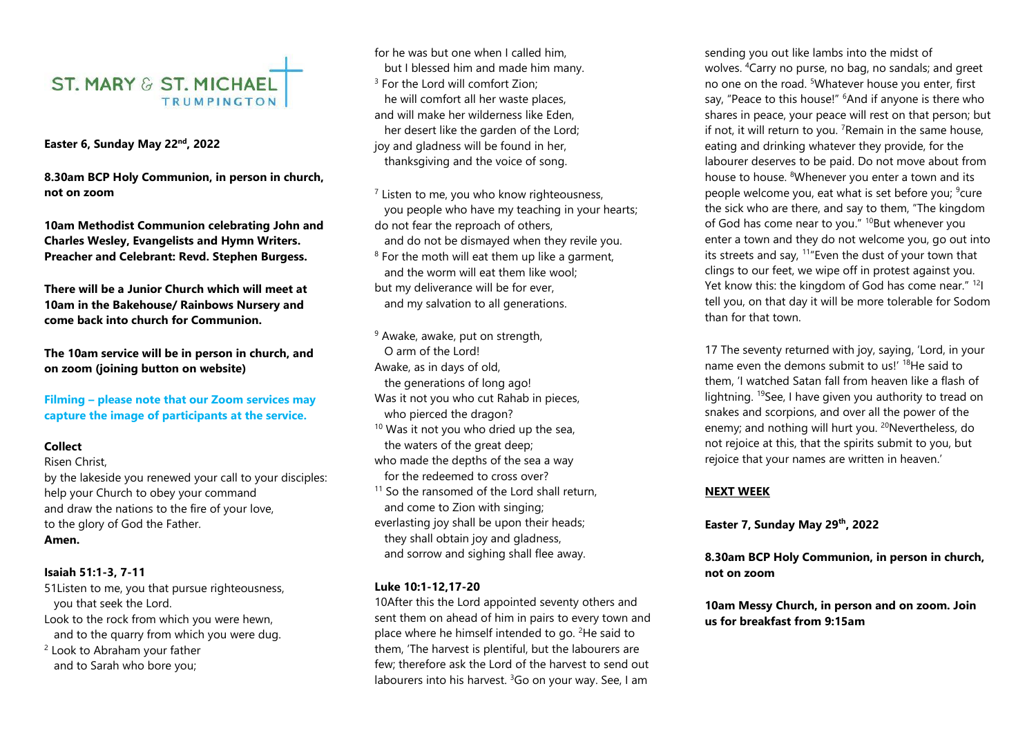# **ST. MARY & ST. MICHAEL TRUMPINGTON**

**Easter 6, Sunday May 22nd , 2022** 

**8.30am BCP Holy Communion, in person in church, not on zoom** 

**10am Methodist Communion celebrating John and Charles Wesley, Evangelists and Hymn Writers. Preacher and Celebrant: Revd. Stephen Burgess.** 

**There will be a Junior Church which will meet at 10am in the Bakehouse/ Rainbows Nursery and come back into church for Communion.**

**The 10am service will be in person in church, and on zoom (joining button on website)** 

**Filming – please note that our Zoom services may capture the image of participants at the service.** 

## **Collect**

Risen Christ,

by the lakeside you renewed your call to your disciples: help your Church to obey your command and draw the nations to the fire of your love, to the glory of God the Father. **Amen.**

## **Isaiah 51:1-3, 7-11**

51Listen to me, you that pursue righteousness, you that seek the Lord. Look to the rock from which you were hewn,

 and to the quarry from which you were dug. <sup>2</sup> Look to Abraham your father

and to Sarah who bore you;

for he was but one when I called him. but I blessed him and made him many. <sup>3</sup> For the Lord will comfort Zion; he will comfort all her waste places, and will make her wilderness like Eden, her desert like the garden of the Lord; joy and gladness will be found in her, thanksgiving and the voice of song.

<sup>7</sup> Listen to me, you who know righteousness, you people who have my teaching in your hearts; do not fear the reproach of others, and do not be dismayed when they revile you. <sup>8</sup> For the moth will eat them up like a garment, and the worm will eat them like wool; but my deliverance will be for ever, and my salvation to all generations.

<sup>9</sup> Awake, awake, put on strength, O arm of the Lord! Awake, as in days of old, the generations of long ago! Was it not you who cut Rahab in pieces, who pierced the dragon?  $10$  Was it not you who dried up the sea, the waters of the great deep; who made the depths of the sea a way for the redeemed to cross over?  $11$  So the ransomed of the Lord shall return, and come to Zion with singing; everlasting joy shall be upon their heads; they shall obtain joy and gladness, and sorrow and sighing shall flee away.

## **Luke 10:1-12,17-20**

10After this the Lord appointed seventy others and sent them on ahead of him in pairs to every town and place where he himself intended to go. <sup>2</sup>He said to them, 'The harvest is plentiful, but the labourers are few; therefore ask the Lord of the harvest to send out labourers into his harvest.  $360$  on your way. See, I am

sending you out like lambs into the midst of wolves. <sup>4</sup>Carry no purse, no bag, no sandals; and greet no one on the road. <sup>5</sup>Whatever house you enter, first say, "Peace to this house!" <sup>6</sup>And if anyone is there who shares in peace, your peace will rest on that person; but if not, it will return to you.  $7$ Remain in the same house, eating and drinking whatever they provide, for the labourer deserves to be paid. Do not move about from house to house. <sup>8</sup>Whenever you enter a town and its people welcome you, eat what is set before you; <sup>9</sup>cure the sick who are there, and say to them, "The kingdom of God has come near to you." <sup>10</sup>But whenever you enter a town and they do not welcome you, go out into its streets and say,  $11^{\circ}$  Even the dust of your town that clings to our feet, we wipe off in protest against you. Yet know this: the kingdom of God has come near." <sup>12</sup>I tell you, on that day it will be more tolerable for Sodom than for that town.

17 The seventy returned with joy, saying, 'Lord, in your name even the demons submit to us!' <sup>18</sup>He said to them, 'I watched Satan fall from heaven like a flash of lightning. <sup>19</sup>See, I have given you authority to tread on snakes and scorpions, and over all the power of the enemy; and nothing will hurt you. <sup>20</sup>Nevertheless, do not rejoice at this, that the spirits submit to you, but rejoice that your names are written in heaven.'

## **NEXT WEEK**

**Easter 7, Sunday May 29th , 2022**

**8.30am BCP Holy Communion, in person in church, not on zoom** 

**10am Messy Church, in person and on zoom. Join us for breakfast from 9:15am**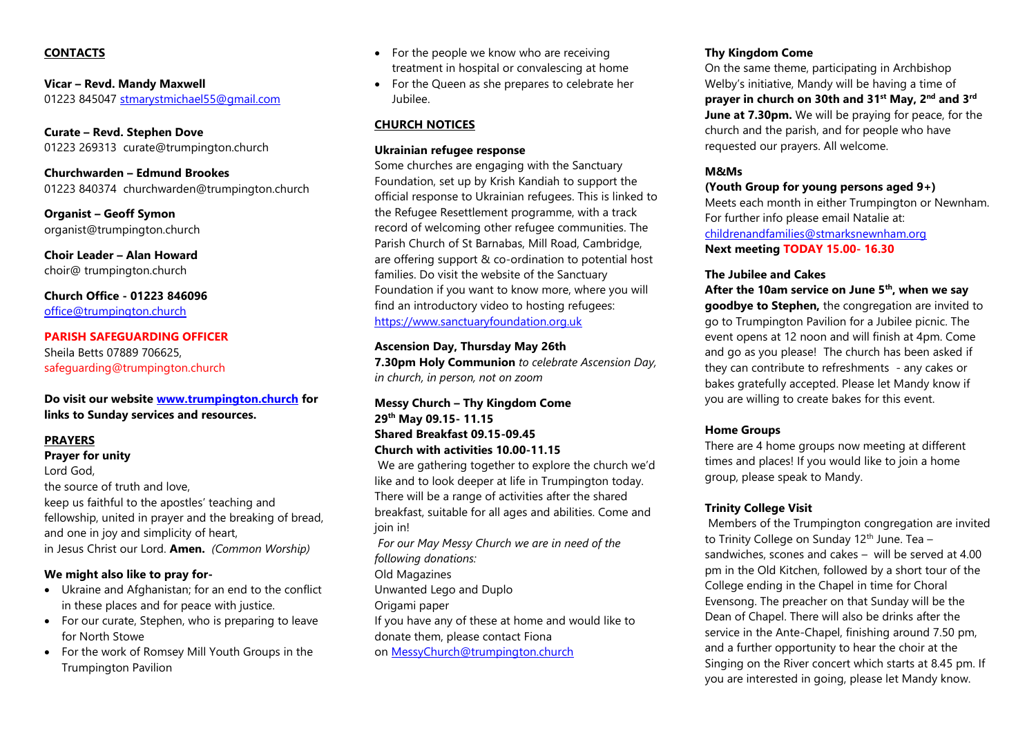## **CONTACTS**

**Vicar – Revd. Mandy Maxwell**  01223 845047 [stmarystmichael55@gmail.com](mailto:stmarystmichael55@gmail.com)

**Curate – Revd. Stephen Dove**  01223 269313 curate@trumpington.church

**Churchwarden – Edmund Brookes** 01223 840374 churchwarden@trumpington.church

**Organist – Geoff Symon** organist@trumpington.church

**Choir Leader – Alan Howard**  choir@ trumpington.church

**Church Office - 01223 846096** [office@trumpington.church](mailto:office@trumpington.church)

**PARISH SAFEGUARDING OFFICER**  Sheila Betts 07889 706625, safeguarding@trumpington.church

## **Do visit our website [www.trumpington.church](http://www.trumpington.church/) for links to Sunday services and resources.**

## **PRAYERS**

**Prayer for unity** Lord God, the source of truth and love, keep us faithful to the apostles' teaching and fellowship, united in prayer and the breaking of bread, and one in joy and simplicity of heart, in Jesus Christ our Lord. **Amen.** *(Common Worship)*

## **We might also like to pray for-**

- Ukraine and Afghanistan; for an end to the conflict in these places and for peace with justice.
- For our curate, Stephen, who is preparing to leave for North Stowe
- For the work of Romsey Mill Youth Groups in the Trumpington Pavilion
- For the people we know who are receiving treatment in hospital or convalescing at home
- For the Queen as she prepares to celebrate her Jubilee.

# **CHURCH NOTICES**

## **Ukrainian refugee response**

Some churches are engaging with the Sanctuary Foundation, set up by Krish Kandiah to support the official response to Ukrainian refugees. This is linked to the Refugee Resettlement programme, with a track record of welcoming other refugee communities. The Parish Church of St Barnabas, Mill Road, Cambridge, are offering support & co-ordination to potential host families. Do visit the website of the Sanctuary Foundation if you want to know more, where you will find an introductory video to hosting refugees: [https://www.sanctuaryfoundation.org.uk](https://www.sanctuaryfoundation.org.uk/)

## **Ascension Day, Thursday May 26th**

**7.30pm Holy Communion** *to celebrate Ascension Day, in church, in person, not on zoom*

**Messy Church – Thy Kingdom Come 29th May 09.15- 11.15 Shared Breakfast 09.15-09.45 Church with activities 10.00-11.15**

We are gathering together to explore the church we'd like and to look deeper at life in Trumpington today. There will be a range of activities after the shared breakfast, suitable for all ages and abilities. Come and join in!

*For our May Messy Church we are in need of the following donations:* Old Magazines Unwanted Lego and Duplo

Origami paper

If you have any of these at home and would like to

donate them, please contact Fiona

on [MessyChurch@trumpington.church](mailto:MessyChurch@trumpington.church)

## **Thy Kingdom Come**

On the same theme, participating in Archbishop Welby's initiative, Mandy will be having a time of **prayer in church on 30th and 31st May, 2nd and 3rd June at 7.30pm.** We will be praying for peace, for the church and the parish, and for people who have requested our prayers. All welcome.

# **M&Ms**

## **(Youth Group for young persons aged 9+)**

Meets each month in either Trumpington or Newnham. For further info please email Natalie at: [childrenandfamilies@stmarksnewnham.org](mailto:childrenandfamilies@stmarksnewnham.org) **Next meeting TODAY 15.00- 16.30**

#### **The Jubilee and Cakes**

**After the 10am service on June 5th, when we say goodbye to Stephen,** the congregation are invited to go to Trumpington Pavilion for a Jubilee picnic. The event opens at 12 noon and will finish at 4pm. Come and go as you please! The church has been asked if they can contribute to refreshments - any cakes or bakes gratefully accepted. Please let Mandy know if you are willing to create bakes for this event.

## **Home Groups**

There are 4 home groups now meeting at different times and places! If you would like to join a home group, please speak to Mandy.

## **Trinity College Visit**

Members of the Trumpington congregation are invited to Trinity College on Sunday  $12<sup>th</sup>$  June. Tea – sandwiches, scones and cakes – will be served at 4.00 pm in the Old Kitchen, followed by a short tour of the College ending in the Chapel in time for Choral Evensong. The preacher on that Sunday will be the Dean of Chapel. There will also be drinks after the service in the Ante-Chapel, finishing around 7.50 pm, and a further opportunity to hear the choir at the Singing on the River concert which starts at 8.45 pm. If you are interested in going, please let Mandy know.